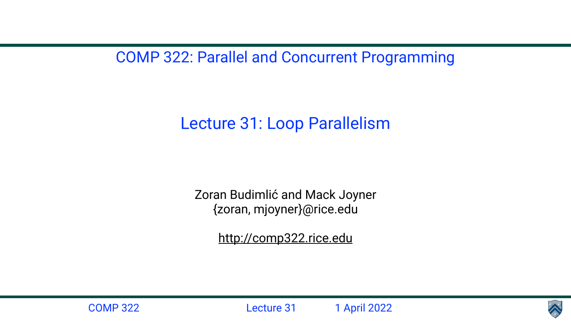COMP 322: Parallel and Concurrent Programming

Lecture 31: Loop Parallelism

Zoran Budimlić and Mack Joyner {zoran, mjoyner}@rice.edu

<http://comp322.rice.edu>



COMP 322 Lecture 31 1 April 2022

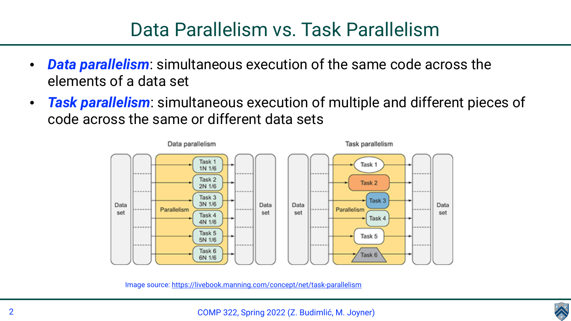

## Data Parallelism vs. Task Parallelism

- *Data parallelism*: simultaneous execution of the same code across the elements of a data set
- *Task parallelism*: simultaneous execution of multiple and different pieces of code across the same or different data sets



Image source: <https://livebook.manning.com/concept/net/task-parallelism>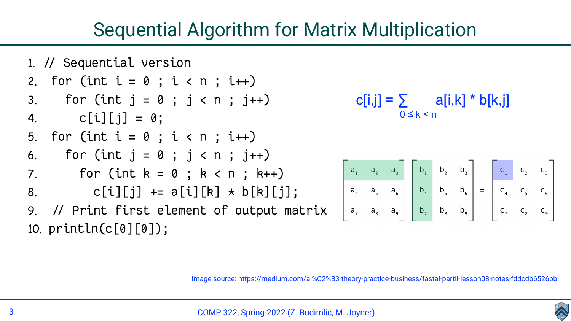





# Sequential Algorithm for Matrix Multiplication

1. // Sequential version 2. for (int  $i = 0$ ;  $i < n$ ;  $i++)$ 3. For (int  $j = 0$  ;  $j < n$  ;  $j++)$ 4.  $c[i][j] = 0;$ 5. for (int  $i = 0$  ;  $i < n$  ;  $i+1$ ) 6. For (int  $j = 0$  ;  $j < n$  ;  $j+1$ ) 7. For  $(int k = 0 ; k < n ; k++)$ 8. c[i][j]  $+= a[i][k] \times b[k][j];$ 9. // Print first element of output matrix 10. println(c[0][0]);

### $c[i,j] = \sum$  a[i,k] \* b[k,j]  $0 \leq k \leq n$

 $\begin{bmatrix}\na_1 & a_2 & a_3 \\
a_4 & a_5 & a_6 \\
a_7 & a_8 & a_9\n\end{bmatrix}\n\begin{bmatrix}\nb_1 & b_2 & b_3 \\
b_4 & b_5 & b_6 \\
b_7 & b_8 & b_9\n\end{bmatrix}\n=\n\begin{bmatrix}\nc_1 & c_2 & c_3 \\
c_4 & c_5 & c_6 \\
c_7 & c_8 & c_9\n\end{bmatrix}$ 

Image source: https://medium.com/ai%C2%B3-theory-practice-business/fastai-partii-lesson08-notes-fddcdb6526bb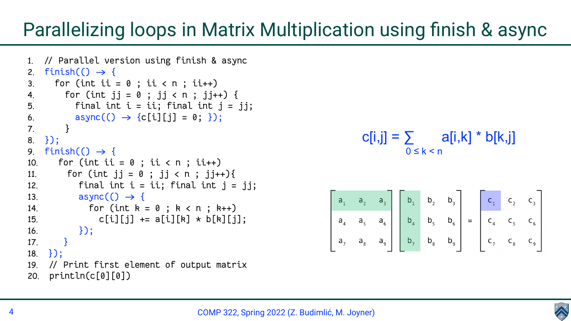





# Parallelizing loops in Matrix Multiplication using finish & async

```
1. // Parallel version using finish & async
2. finish() \rightarrow \{3. for (int ii = 0; ii < n; ii++)
4. for (int jj = 0 ; jj < n ; jj++) {
5. final int i = ii; final int j = jj;
6. async(() \rightarrow {c[i][j] = 0; });
7. }
8. });
9. finish() \rightarrow \{10. For (int ii = 0; ii < n; ii++)
11. for (int jj = 0 ; jj < n ; jj++)12. final int i = ii; final int j = jj;
13. async(() \rightarrow (14. for (int k = 0 ; k < n ; k++)
15. c[i][j] += a[i][k] \times b[k][j];16. });
17. }
18. });
19. // Print first element of output matrix
20. println(c[0][0])
```

$$
c[i,j] = \sum_{0 \le k < n} a[i,k] \cdot b[k,j]
$$

$$
\begin{bmatrix}\na_1 & a_2 & a_3 \\
a_4 & a_5 & a_6 \\
a_7 & a_8 & a_9\n\end{bmatrix}\n\begin{bmatrix}\nb_1 & b_2 & b_3 \\
b_4 & b_5 & b_6 \\
b_7 & b_8 & b_9\n\end{bmatrix}\n=\n\begin{bmatrix}\nc_1 & c_2 & c_3 \\
c_4 & c_5 & c_6\n\end{bmatrix}
$$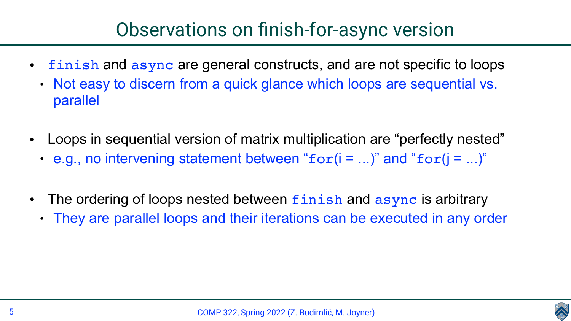

# Observations on finish-for-async version

- - parallel
- - e.g., no intervening statement between " $for(i = ...)$ " and " $for(j = ...)$ "
- The ordering of loops nested between finish and async is arbitrary
	-

• finish and async are general constructs, and are not specific to loops • Not easy to discern from a quick glance which loops are sequential vs.

• Loops in sequential version of matrix multiplication are "perfectly nested"

• They are parallel loops and their iterations can be executed in any order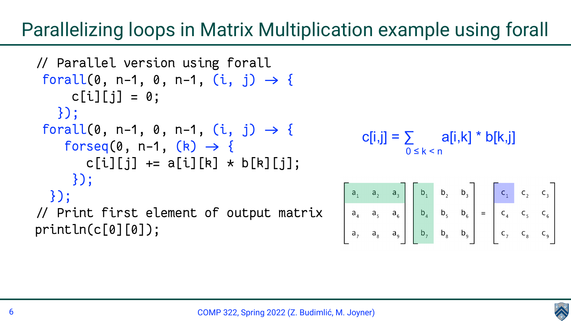





# Parallelizing loops in Matrix Multiplication example using forall

/ Parallel version using forall forall(0, n-1, 0, n-1,  $(i, j) \rightarrow \{$  $c[i][j] = 0;$  }); forall(0, n-1, 0, n-1,  $(i, j) \rightarrow \{$  $forseq(0, n-1, (k) \rightarrow \{$ c[i][j]  $+= a[i][k] \times b[k][j];$  }); }); / Print first element of output matrix println(c[0][0]);



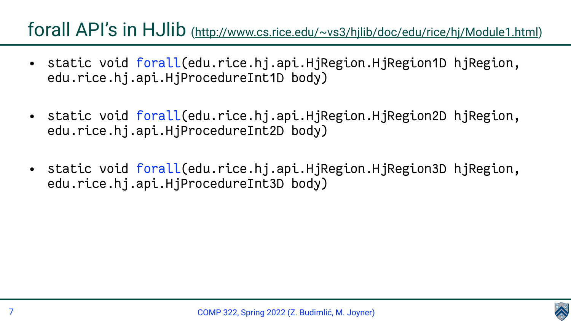



• static void [forall](http://www.cs.rice.edu/~vs3/hjlib/doc/edu/rice/hj/Module1.html#forall-edu.rice.hj.api.HjRegion.HjRegion1D-edu.rice.hj.api.HjProcedureInt1D-)(edu.rice.hj.api.HjRegion.HjRegion1D hjRegion,

• static void [forall](http://www.cs.rice.edu/~vs3/hjlib/doc/edu/rice/hj/Module1.html#forall-edu.rice.hj.api.HjRegion.HjRegion2D-edu.rice.hj.api.HjProcedureInt2D-)(edu.rice.hj.api.HjRegion.HjRegion2D hjRegion,

# forall API's in HJlib (<http://www.cs.rice.edu/~vs3/hjlib/doc/edu/rice/hj/Module1.html>)

- edu.rice.hj.api.HjProcedureInt1D body)
- edu.rice.hj.api.HjProcedureInt2D body)
- edu.rice.hj.api.HjProcedureInt3D body)

• static void [forall](http://www.cs.rice.edu/~vs3/hjlib/doc/edu/rice/hj/Module1.html#forall-edu.rice.hj.api.HjRegion.HjRegion3D-edu.rice.hj.api.HjProcedureInt3D-)(edu.rice.hj.api.HjRegion.HjRegion3D hjRegion,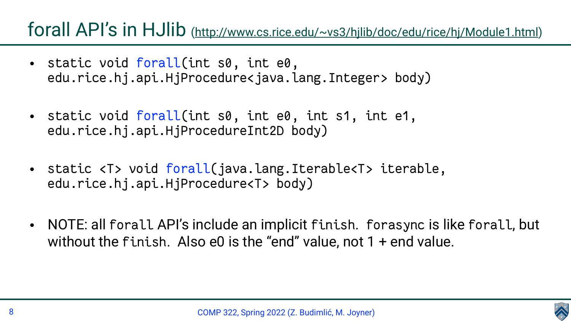- static void [forall](http://www.cs.rice.edu/~vs3/hjlib/doc/edu/rice/hj/Module1.html#forall-int-int-edu.rice.hj.api.HjProcedure-)(int s0, int e0, edu.rice.hj.api.HjProcedure<java.lang.Integer> body)
- static void [forall](http://www.cs.rice.edu/~vs3/hjlib/doc/edu/rice/hj/Module1.html#forall-int-int-int-int-edu.rice.hj.api.HjProcedureInt2D-)(int s0, int e0, int s1, int e1, edu.rice.hj.api.HjProcedureInt2D body)
- static <T> void [forall\(](http://www.cs.rice.edu/~vs3/hjlib/doc/edu/rice/hj/Module1.html#forall-java.lang.Iterable-edu.rice.hj.api.HjProcedure-)java.lang.Iterable<T> iterable, edu.rice.hj.api.HjProcedure<T> body)
- without the finish. Also  $e0$  is the "end" value, not  $1 + end$  value.

# forall API's in HJlib (<http://www.cs.rice.edu/~vs3/hjlib/doc/edu/rice/hj/Module1.html>)

• NOTE: all forall API's include an implicit finish. forasync is like forall, but



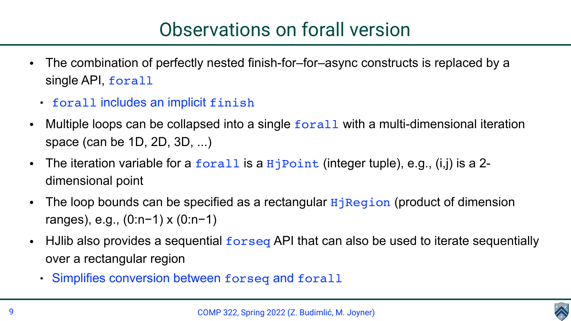

• The combination of perfectly nested finish-for–for–async constructs is replaced by a

Multiple loops can be collapsed into a single forall with a multi-dimensional iteration

The loop bounds can be specified as a rectangular  $HjRegion$  (product of dimension

• Hulib also provides a sequential forseq API that can also be used to iterate sequentially

- single API, forall
	- forall includes an implicit finish
- space (can be 1D, 2D, 3D, ...)
- The iteration variable for a  $foral$  is a  $HjPoint$  (integer tuple), e.g., (i,j) is a 2dimensional point
- ranges), e.g., (0:n−1) x (0:n−1)
- over a rectangular region
	- Simplifies conversion between forseq and forall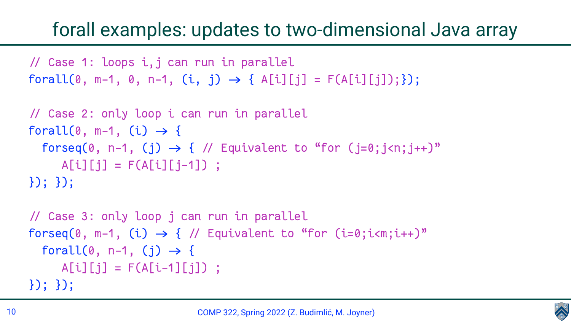

/ Case 1: loops i,j can run in parallel  $forall(0, m-1, 0, n-1, (i, j) \rightarrow \{ A[i][j] = F(A[i][j]); \});$ 

# forall examples: updates to two-dimensional Java array

/ Case 2: only loop i can run in parallel forall(0,  $m-1$ , (i)  $\rightarrow$  { forseq(0, n-1, (j)  $\rightarrow$  { // Equivalent to "for (j=0;j<n;j++)"  $A[i][j] = F(A[i][j-1])$  ; }); });

/ Case 3: only loop j can run in parallel forseq(0, m-1, (i)  $\rightarrow$  { // Equivalent to "for (i=0;i<m;i++)" forall(0, n-1, (j)  $\rightarrow$  {  $A[i][j] = F(A[i-1][j])$  ; }); });

- 
- 
-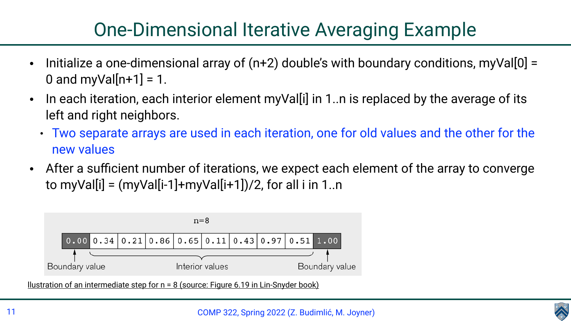

# One-Dimensional Iterative Averaging Example

- 0 and myVal $[n+1] = 1$ .
- left and right neighbors.
	- new values
- to myVal[i] =  $(myVal[i-1]+myVal[i+1])/2$ , for all i in 1..n



Ilustration of an intermediate step for  $n = 8$  (source: Figure 6.19 in Lin-Snyder book)

• In each iteration, each interior element myVal[i] in 1..n is replaced by the average of its

• Two separate arrays are used in each iteration, one for old values and the other for the

• After a sufficient number of iterations, we expect each element of the array to converge

Initialize a one-dimensional array of  $(n+2)$  double's with boundary conditions, myVal $[0]$  =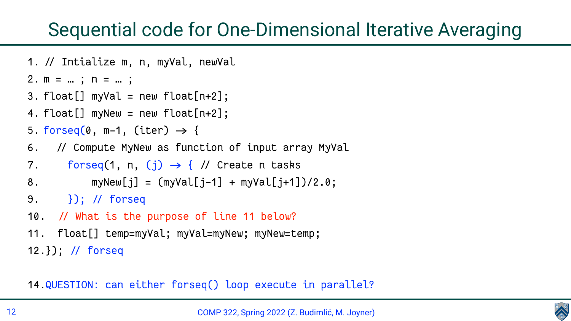- 
- COMP 322, Spring 2022 (Z. Budimlić, M. Joyner)



# Sequential code for One-Dimensional Iterative Averaging

1. // Intialize m, n, myVal, newVal

$$
2. m = ... ; n = ... ;
$$

- 3.  $float[] myVal = new float[n+2];$
- 4.  $float[] myNew = new float[n+2];$
- 5. forseq(0,  $m-1$ , (iter)  $\rightarrow$  {
- 6. / Compute MyNew as function of input array MyVal
- 7. forseq(1, n, (j)  $\rightarrow$  { // Create n tasks
- 8.  $myNew[j] = (myVal[j-1] + myVal[j+1])/2.0;$
- 9. }); / forseq
- 10. // What is the purpose of line 11 below?
- 11. float[] temp=myVal; myVal=myNew; myNew=temp; 12.}); / forseq

14.QUESTION: can either forseq() loop execute in parallel?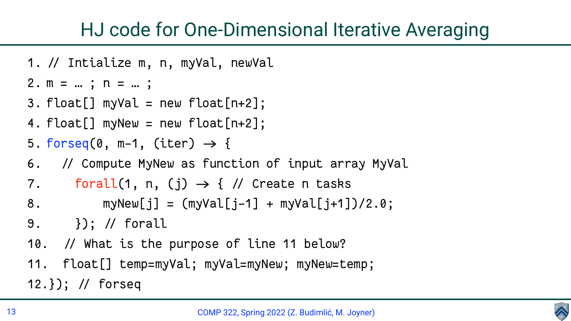# HJ code for One-Dimensional Iterative Averaging

- 1. // Intialize m, n, myVal, newVal
- 2. m = … ; n = … ;
- 3.  $float[] myVal = new float[n+2];$
- 4.  $float[] myNew = new float[n+2];$
- 5. forseq(0,  $m-1$ , (iter)  $\rightarrow$  {
- 6. / Compute MyNew as function of input array MyVal 7. forall(1, n, (j)  $\rightarrow$  { // Create n tasks
- 
- 8. myNew[j] =  $(myVal[j-1] + myVal[j+1])/2.0;$
- 9. }); / forall
- 10. // What is the purpose of line 11 below?
- 11. float[] temp=myVal; myVal=myNew; myNew=temp; 12.}); / forseq

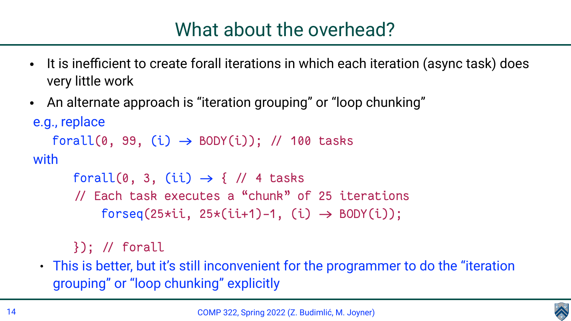

• It is inefficient to create forall iterations in which each iteration (async task) does

- very little work
- An alternate approach is "iteration grouping" or "loop chunking" e.g., replace  $forall(0, 99, (i) \rightarrow BODY(i));$  // 100 tasks with

forall(0, 3, (ii)  $\rightarrow$  { // 4 tasks / Each task executes a "chunk" of 25 iterations  $forseq(25*ii, 25*(ii+1)-1, (i) \rightarrow BODY(i));$ 

}); / forall

• This is better, but it's still inconvenient for the programmer to do the "iteration

grouping" or "loop chunking" explicitly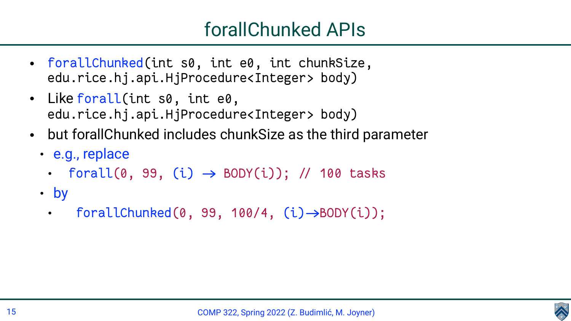

- [forallChunked\(](http://www.cs.rice.edu/~vs3/hjlib/doc/edu/rice/hj/Module1.html#forallChunked-int-int-int-edu.rice.hj.api.HjProcedure-)int s0, int e0, int chunkSize, edu.rice.hj.api.HjProcedure<Integer> body)
- Like [forall\(](http://www.cs.rice.edu/~vs3/hjlib/doc/edu/rice/hj/Module1.html#forallChunked-int-int-int-edu.rice.hj.api.HjProcedure-)int s0, int e0,
- edu.rice.hj.api.HjProcedure<Integer> body) • but forallChunked includes chunkSize as the third parameter
	- e.g., replace
		- forall(0, 99, (i)  $\rightarrow$  BODY(i)); // 100 tasks
	- by
		- forallChunked(0, 99, 100/4,  $(i) \rightarrow BODY(i)$ ;

# forallChunked APIs